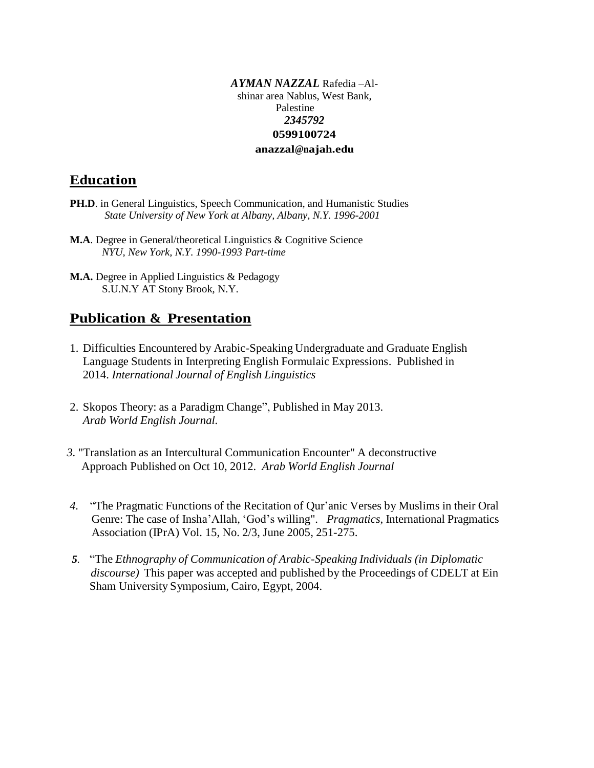#### *AYMAN NAZZAL* Rafedia –Alshinar area Nablus, West Bank, Palestine *2345792* **0599100724 [anazzal@najah.edu](mailto:anazzal@najah.edu)**

## **Education**

- **PH.D.** in General Linguistics, Speech Communication, and Humanistic Studies *State University of New York at Albany, Albany, N.Y. 1996-2001*
- **M.A**. Degree in General/theoretical Linguistics & Cognitive Science *NYU, New York, N.Y. 1990-1993 Part-time*
- **M.A.** Degree in Applied Linguistics & Pedagogy S.U.N.Y AT Stony Brook, N.Y.

## **Publication & Presentation**

- 1. Difficulties Encountered by Arabic-Speaking Undergraduate and Graduate English Language Students in Interpreting English Formulaic Expressions. Published in 2014. *International Journal of English Linguistics*
- 2. Skopos Theory: as a Paradigm Change", Published in May 2013. *Arab World English Journal.*
- *3.* "Translation as an Intercultural Communication Encounter" A deconstructive Approach Published on Oct 10, 2012. *Arab World English Journal*
- *4.* "The Pragmatic Functions of the Recitation of Qur'anic Verses by Muslims in their Oral Genre: The case of Insha'Allah, 'God's willing". *Pragmatics*, International Pragmatics Association (IPrA) Vol. 15, No. 2/3, June 2005, 251-275.
- *5.* "The *Ethnography of Communication of Arabic-Speaking Individuals (in Diplomatic discourse*) This paper was accepted and published by the Proceedings of CDELT at Ein Sham University Symposium, Cairo, Egypt, 2004.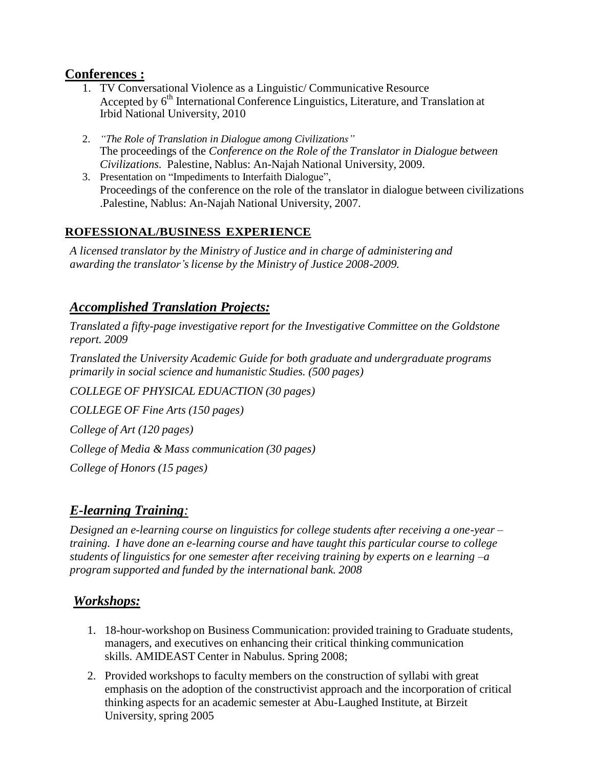## **Conferences :**

- 1. TV Conversational Violence as a Linguistic/ Communicative Resource Accepted by 6<sup>th</sup> International Conference Linguistics, Literature, and Translation at Irbid National University, 2010
- 2. *"The Role of Translation in Dialogue among Civilizations"* The proceedings of the *Conference on the Role of the Translator in Dialogue between Civilizations.* Palestine, Nablus: An-Najah National University, 2009.
- 3. Presentation on "Impediments to Interfaith Dialogue", Proceedings of the conference on the role of the translator in dialogue between civilizations .Palestine, Nablus: An-Najah National University, 2007.

## **ROFESSIONAL/BUSINESS EXPERIENCE**

*A licensed translator by the Ministry of Justice and in charge of administering and awarding the translator's license by the Ministry of Justice 2008-2009.*

## *Accomplished Translation Projects:*

*Translated a fifty-page investigative report for the Investigative Committee on the Goldstone report. 2009*

*Translated the University Academic Guide for both graduate and undergraduate programs primarily in social science and humanistic Studies. (500 pages)*

*COLLEGE OF PHYSICAL EDUACTION (30 pages) COLLEGE OF Fine Arts (150 pages) College of Art (120 pages) College of Media & Mass communication (30 pages) College of Honors (15 pages)*

# *E-learning Training:*

*Designed an e-learning course on linguistics for college students after receiving a one-year – training. I have done an e-learning course and have taught this particular course to college students of linguistics for one semester after receiving training by experts on e learning –a program supported and funded by the international bank. 2008*

## *Workshops:*

- 1. 18-hour-workshop on Business Communication: provided training to Graduate students, managers, and executives on enhancing their critical thinking communication skills. AMIDEAST Center in Nabulus. Spring 2008;
- 2. Provided workshops to faculty members on the construction of syllabi with great emphasis on the adoption of the constructivist approach and the incorporation of critical thinking aspects for an academic semester at Abu-Laughed Institute, at Birzeit University, spring 2005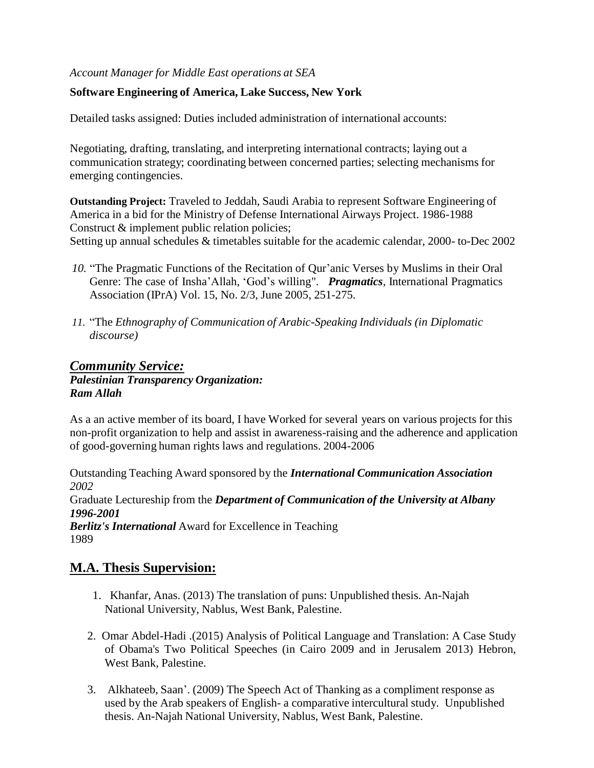### *Account Manager for Middle East operations at SEA*

### **Software Engineering of America, Lake Success, New York**

Detailed tasks assigned: Duties included administration of international accounts:

Negotiating, drafting, translating, and interpreting international contracts; laying out a communication strategy; coordinating between concerned parties; selecting mechanisms for emerging contingencies.

**Outstanding Project:** Traveled to Jeddah, Saudi Arabia to represent Software Engineering of America in a bid for the Ministry of Defense International Airways Project. 1986-1988 Construct & implement public relation policies;

Setting up annual schedules & timetables suitable for the academic calendar, 2000- to-Dec 2002

- *10.* "The Pragmatic Functions of the Recitation of Qur'anic Verses by Muslims in their Oral Genre: The case of Insha'Allah, 'God's willing". *Pragmatics*, International Pragmatics Association (IPrA) Vol. 15, No. 2/3, June 2005, 251-275.
- *11.* "The *Ethnography of Communication of Arabic-Speaking Individuals (in Diplomatic discourse)*

### *Community Service: Palestinian Transparency Organization: Ram Allah*

As a an active member of its board, I have Worked for several years on various projects for this non-profit organization to help and assist in awareness-raising and the adherence and application of good-governing human rights laws and regulations. 2004-2006

Outstanding Teaching Award sponsored by the *International Communication Association 2002* Graduate Lectureship from the *Department of Communication of the University at Albany 1996-2001 Berlitz's International* Award for Excellence in Teaching 1989

### **M.A. Thesis Supervision:**

- 1. Khanfar, Anas. (2013) The translation of puns: Unpublished thesis. An-Najah National University, Nablus, West Bank, Palestine.
- 2. Omar Abdel-Hadi .(2015) Analysis of Political Language and Translation: A Case Study of Obama's Two Political Speeches (in Cairo 2009 and in Jerusalem 2013) Hebron, West Bank, Palestine.
- 3. Alkhateeb, Saan'. (2009) The Speech Act of Thanking as a compliment response as used by the Arab speakers of English- a comparative intercultural study. Unpublished thesis. An-Najah National University, Nablus, West Bank, Palestine.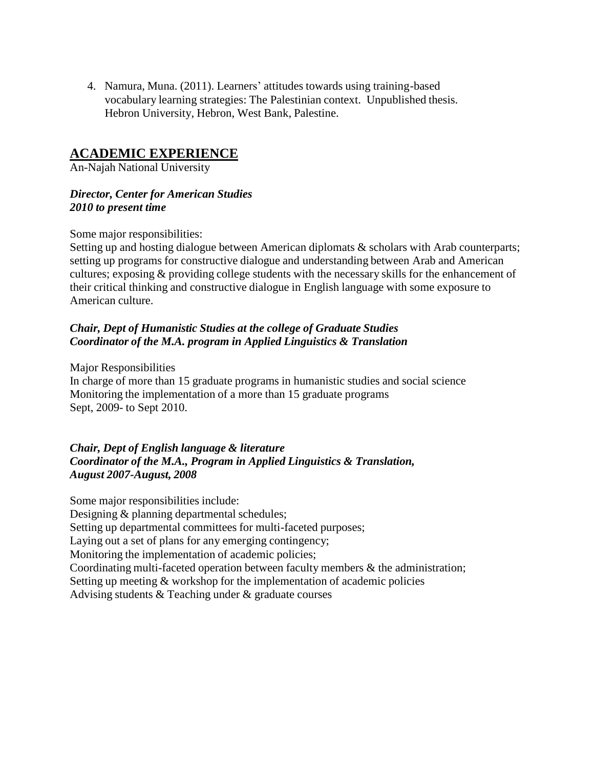4. Namura, Muna. (2011). Learners' attitudes towards using training-based vocabulary learning strategies: The Palestinian context. Unpublished thesis. Hebron University, Hebron, West Bank, Palestine.

## **ACADEMIC EXPERIENCE**

An-Najah National University

### *Director, Center for American Studies 2010 to present time*

Some major responsibilities:

Setting up and hosting dialogue between American diplomats & scholars with Arab counterparts; setting up programs for constructive dialogue and understanding between Arab and American cultures; exposing & providing college students with the necessary skills for the enhancement of their critical thinking and constructive dialogue in English language with some exposure to American culture.

### *Chair, Dept of Humanistic Studies at the college of Graduate Studies Coordinator of the M.A. program in Applied Linguistics & Translation*

Major Responsibilities In charge of more than 15 graduate programs in humanistic studies and social science Monitoring the implementation of a more than 15 graduate programs Sept, 2009- to Sept 2010.

*Chair, Dept of English language & literature Coordinator of the M.A., Program in Applied Linguistics & Translation, August 2007-August, 2008*

Some major responsibilities include: Designing & planning departmental schedules; Setting up departmental committees for multi-faceted purposes; Laying out a set of plans for any emerging contingency; Monitoring the implementation of academic policies; Coordinating multi-faceted operation between faculty members & the administration; Setting up meeting & workshop for the implementation of academic policies Advising students & Teaching under & graduate courses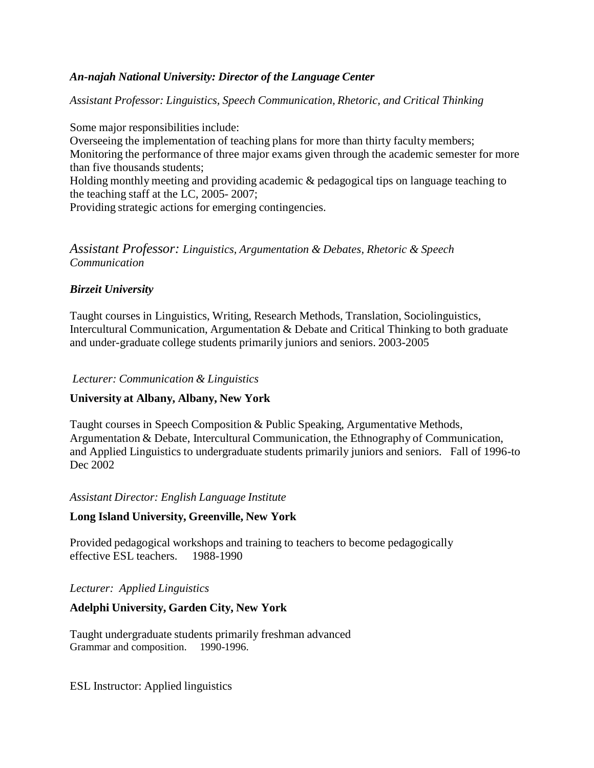### *An-najah National University: Director of the Language Center*

*Assistant Professor: Linguistics, Speech Communication, Rhetoric, and Critical Thinking*

Some major responsibilities include: Overseeing the implementation of teaching plans for more than thirty faculty members; Monitoring the performance of three major exams given through the academic semester for more than five thousands students; Holding monthly meeting and providing academic & pedagogical tips on language teaching to the teaching staff at the LC, 2005- 2007;

Providing strategic actions for emerging contingencies.

### *Assistant Professor: Linguistics, Argumentation & Debates, Rhetoric & Speech Communication*

### *Birzeit University*

Taught courses in Linguistics, Writing, Research Methods, Translation, Sociolinguistics, Intercultural Communication, Argumentation & Debate and Critical Thinking to both graduate and under-graduate college students primarily juniors and seniors. 2003-2005

*Lecturer: Communication & Linguistics*

#### **University at Albany, Albany, New York**

Taught courses in Speech Composition & Public Speaking, Argumentative Methods, Argumentation & Debate, Intercultural Communication, the Ethnography of Communication, and Applied Linguistics to undergraduate students primarily juniors and seniors. Fall of 1996-to Dec 2002

#### *Assistant Director: English Language Institute*

#### **Long Island University, Greenville, New York**

Provided pedagogical workshops and training to teachers to become pedagogically effective ESL teachers. 1988-1990

#### *Lecturer: Applied Linguistics*

### **Adelphi University, Garden City, New York**

Taught undergraduate students primarily freshman advanced Grammar and composition. 1990-1996.

ESL Instructor: Applied linguistics